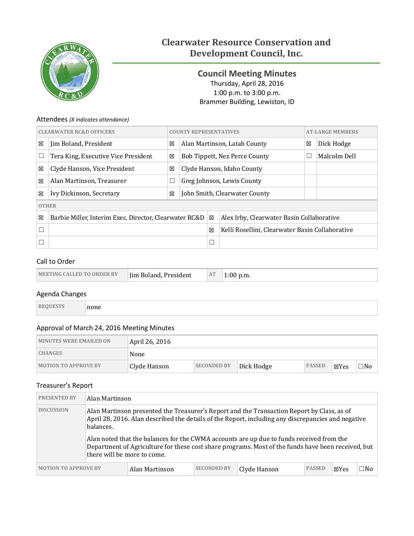

# **Clearwater Resource Conservation and Development Council, Inc.**

<span id="page-0-0"></span>**Council Meeting Minutes** Thursday, April 28, 2016 1:00 p.m. to 3:00 p.m. Brammer Building, Lewiston, ID

## Attendees *(X indicates attendance)*

| <b>CLEARWATER RC&amp;D OFFICERS</b> |                                                        |        | <b>COUNTY REPRESENTATIVES</b> |   |                                                 | <b>AT-LARGE MEMBERS</b> |              |
|-------------------------------------|--------------------------------------------------------|--------|-------------------------------|---|-------------------------------------------------|-------------------------|--------------|
| 区                                   | Jim Boland, President                                  | 区      | Alan Martinson, Latah County  |   |                                                 | 図                       | Dick Hodge   |
| ⊏                                   | Tera King, Executive Vice President                    | 区      |                               |   | <b>Bob Tippett, Nez Perce County</b>            |                         | Malcolm Dell |
| 区                                   | Clyde Hanson, Vice President                           | 区      | Clyde Hanson, Idaho County    |   |                                                 |                         |              |
| X                                   | Alan Martinson, Treasurer                              | $\Box$ | Greg Johnson, Lewis County    |   |                                                 |                         |              |
| 区                                   | Ivy Dickinson, Secretary                               | 区      | John Smith, Clearwater County |   |                                                 |                         |              |
| <b>OTHER</b>                        |                                                        |        |                               |   |                                                 |                         |              |
| 区                                   | Barbie Miller, Interim Exec. Director, Clearwater RC&D |        |                               | X | Alex Irby, Clearwater Basin Collaborative       |                         |              |
| Г                                   |                                                        |        |                               | 区 | Kelli Rosellini, Clearwater Basin Collaborative |                         |              |
|                                     |                                                        |        |                               |   |                                                 |                         |              |

#### Call to Order

| In Boland, President<br><b>CO ORDER BY</b><br><b>MEETING CALLED T.</b> | AT | p.m. |
|------------------------------------------------------------------------|----|------|
|------------------------------------------------------------------------|----|------|

## Agenda Changes

| L. L | none<br>____ |  |
|------|--------------|--|
|------|--------------|--|

## Approval of March 24, 2016 Meeting Minutes

| <b>MINUTES WERE EMAILED ON</b> | April 26, 2016 |                    |            |               |      |           |
|--------------------------------|----------------|--------------------|------------|---------------|------|-----------|
| <b>CHANGES</b>                 | None           |                    |            |               |      |           |
| <b>MOTION TO APPROVE BY</b>    | Clyde Hanson   | <b>SECONDED BY</b> | Dick Hodge | <b>PASSED</b> | ⊠Yes | $\neg$ No |

#### Treasurer's Report

| <b>PRESENTED BY</b>         | Alan Martinson                                                                                                                                                                                                                |                |                    |              |               |                 |     |
|-----------------------------|-------------------------------------------------------------------------------------------------------------------------------------------------------------------------------------------------------------------------------|----------------|--------------------|--------------|---------------|-----------------|-----|
| <b>DISCUSSION</b>           | Alan Martinson presented the Treasurer's Report and the Transaction Report by Class, as of<br>April 28, 2016. Alan described the details of the Report, including any discrepancies and negative<br>balances.                 |                |                    |              |               |                 |     |
|                             | Alan noted that the balances for the CWMA accounts are up due to funds received from the<br>Department of Agriculture for these cost share programs. Most of the funds have been received, but<br>there will be more to come. |                |                    |              |               |                 |     |
| <b>MOTION TO APPROVE BY</b> |                                                                                                                                                                                                                               | Alan Martinson | <b>SECONDED BY</b> | Clyde Hanson | <b>PASSED</b> | $\boxtimes$ Yes | ⊐No |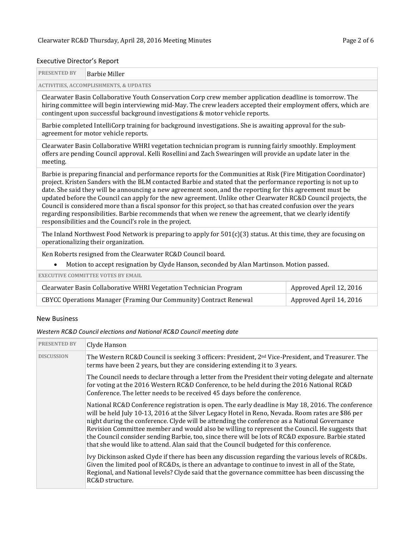# Executive Director's Report

| <b>PRESENTED BY</b> | <b>Barbie Miller</b>                                                                                                                                                                                                                                                                                                                                                                                                                                                                                                                                                                                                                                                                                                                                      |  |  |  |  |  |
|---------------------|-----------------------------------------------------------------------------------------------------------------------------------------------------------------------------------------------------------------------------------------------------------------------------------------------------------------------------------------------------------------------------------------------------------------------------------------------------------------------------------------------------------------------------------------------------------------------------------------------------------------------------------------------------------------------------------------------------------------------------------------------------------|--|--|--|--|--|
|                     | <b>ACTIVITIES, ACCOMPLISHMENTS, &amp; UPDATES</b>                                                                                                                                                                                                                                                                                                                                                                                                                                                                                                                                                                                                                                                                                                         |  |  |  |  |  |
|                     | Clearwater Basin Collaborative Youth Conservation Corp crew member application deadline is tomorrow. The<br>hiring committee will begin interviewing mid-May. The crew leaders accepted their employment offers, which are<br>contingent upon successful background investigations & motor vehicle reports.                                                                                                                                                                                                                                                                                                                                                                                                                                               |  |  |  |  |  |
|                     | Barbie completed IntelliCorp training for background investigations. She is awaiting approval for the sub-<br>agreement for motor vehicle reports.                                                                                                                                                                                                                                                                                                                                                                                                                                                                                                                                                                                                        |  |  |  |  |  |
| meeting.            | Clearwater Basin Collaborative WHRI vegetation technician program is running fairly smoothly. Employment<br>offers are pending Council approval. Kelli Rosellini and Zach Swearingen will provide an update later in the                                                                                                                                                                                                                                                                                                                                                                                                                                                                                                                                  |  |  |  |  |  |
|                     | Barbie is preparing financial and performance reports for the Communities at Risk (Fire Mitigation Coordinator)<br>project. Kristen Sanders with the BLM contacted Barbie and stated that the performance reporting is not up to<br>date. She said they will be announcing a new agreement soon, and the reporting for this agreement must be<br>updated before the Council can apply for the new agreement. Unlike other Clearwater RC&D Council projects, the<br>Council is considered more than a fiscal sponsor for this project, so that has created confusion over the years<br>regarding responsibilities. Barbie recommends that when we renew the agreement, that we clearly identify<br>responsibilities and the Council's role in the project. |  |  |  |  |  |
|                     | The Inland Northwest Food Network is preparing to apply for $501(c)(3)$ status. At this time, they are focusing on<br>operationalizing their organization.                                                                                                                                                                                                                                                                                                                                                                                                                                                                                                                                                                                                |  |  |  |  |  |
|                     | Ken Roberts resigned from the Clearwater RC&D Council board.                                                                                                                                                                                                                                                                                                                                                                                                                                                                                                                                                                                                                                                                                              |  |  |  |  |  |
|                     | Motion to accept resignation by Clyde Hanson, seconded by Alan Martinson. Motion passed.                                                                                                                                                                                                                                                                                                                                                                                                                                                                                                                                                                                                                                                                  |  |  |  |  |  |
|                     | <b>EXECUTIVE COMMITTEE VOTES BY EMAIL</b>                                                                                                                                                                                                                                                                                                                                                                                                                                                                                                                                                                                                                                                                                                                 |  |  |  |  |  |
|                     | $\alpha$ , n $\alpha$ ii is tatinty as $\pi$ is n                                                                                                                                                                                                                                                                                                                                                                                                                                                                                                                                                                                                                                                                                                         |  |  |  |  |  |

| Clearwater Basin Collaborative WHRI Vegetation Technician Program | Approved April 12, 2016 |
|-------------------------------------------------------------------|-------------------------|
| CBYCC Operations Manager (Framing Our Community) Contract Renewal | Approved April 14, 2016 |

#### New Business

## *Western RC&D Council elections and National RC&D Council meeting date*

| <b>PRESENTED BY</b> | Clyde Hanson                                                                                                                                                                                                                                                                                                                                                                                                                                                                                                                                                                                              |
|---------------------|-----------------------------------------------------------------------------------------------------------------------------------------------------------------------------------------------------------------------------------------------------------------------------------------------------------------------------------------------------------------------------------------------------------------------------------------------------------------------------------------------------------------------------------------------------------------------------------------------------------|
| <b>DISCUSSION</b>   | The Western RC&D Council is seeking 3 officers: President, 2 <sup>nd</sup> Vice-President, and Treasurer. The<br>terms have been 2 years, but they are considering extending it to 3 years.                                                                                                                                                                                                                                                                                                                                                                                                               |
|                     | The Council needs to declare through a letter from the President their voting delegate and alternate<br>for voting at the 2016 Western RC&D Conference, to be held during the 2016 National RC&D<br>Conference. The letter needs to be received 45 days before the conference.                                                                                                                                                                                                                                                                                                                            |
|                     | National RC&D Conference registration is open. The early deadline is May 18, 2016. The conference<br>will be held July 10-13, 2016 at the Silver Legacy Hotel in Reno, Nevada. Room rates are \$86 per<br>night during the conference. Clyde will be attending the conference as a National Governance<br>Revision Committee member and would also be willing to represent the Council. He suggests that<br>the Council consider sending Barbie, too, since there will be lots of RC&D exposure. Barbie stated<br>that she would like to attend. Alan said that the Council budgeted for this conference. |
|                     | Ivy Dickinson asked Clyde if there has been any discussion regarding the various levels of RC&Ds.<br>Given the limited pool of RC&Ds, is there an advantage to continue to invest in all of the State,<br>Regional, and National levels? Clyde said that the governance committee has been discussing the<br>RC&D structure.                                                                                                                                                                                                                                                                              |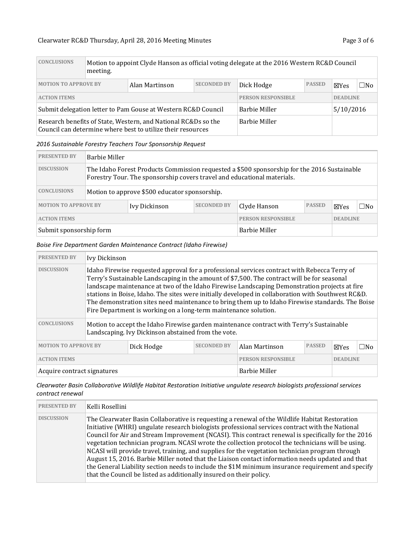| <b>CONCLUSIONS</b>                                                                                                            | Motion to appoint Clyde Hanson as official voting delegate at the 2016 Western RC&D Council<br>meeting. |                |                    |                                   |               |                 |           |
|-------------------------------------------------------------------------------------------------------------------------------|---------------------------------------------------------------------------------------------------------|----------------|--------------------|-----------------------------------|---------------|-----------------|-----------|
| <b>MOTION TO APPROVE BY</b>                                                                                                   |                                                                                                         | Alan Martinson | <b>SECONDED BY</b> | Dick Hodge                        | <b>PASSED</b> | $\boxtimes$ Yes | $\Box$ No |
| <b>ACTION ITEMS</b>                                                                                                           |                                                                                                         |                |                    | <b>PERSON RESPONSIBLE</b>         |               | <b>DEADLINE</b> |           |
| Submit delegation letter to Pam Gouse at Western RC&D Council                                                                 |                                                                                                         |                |                    | <b>Barbie Miller</b><br>5/10/2016 |               |                 |           |
| Research benefits of State, Western, and National RC&Ds so the<br>Council can determine where best to utilize their resources |                                                                                                         |                |                    | <b>Barbie Miller</b>              |               |                 |           |

#### *2016 Sustainable Forestry Teachers Tour Sponsorship Request*

| <b>PRESENTED BY</b>         | Barbie Miller                                                                                                                                                          |                                               |                           |              |                 |                 |              |  |
|-----------------------------|------------------------------------------------------------------------------------------------------------------------------------------------------------------------|-----------------------------------------------|---------------------------|--------------|-----------------|-----------------|--------------|--|
| <b>DISCUSSION</b>           | The Idaho Forest Products Commission requested a \$500 sponsorship for the 2016 Sustainable<br>Forestry Tour. The sponsorship covers travel and educational materials. |                                               |                           |              |                 |                 |              |  |
| <b>CONCLUSIONS</b>          |                                                                                                                                                                        | Motion to approve \$500 educator sponsorship. |                           |              |                 |                 |              |  |
| <b>MOTION TO APPROVE BY</b> |                                                                                                                                                                        | Ivy Dickinson                                 | <b>SECONDED BY</b>        | Clyde Hanson | <b>PASSED</b>   | $\boxtimes$ Yes | $\square$ No |  |
| <b>ACTION ITEMS</b>         |                                                                                                                                                                        |                                               | <b>PERSON RESPONSIBLE</b> |              | <b>DEADLINE</b> |                 |              |  |
| Submit sponsorship form     |                                                                                                                                                                        | <b>Barbie Miller</b>                          |                           |              |                 |                 |              |  |

#### *Boise Fire Department Garden Maintenance Contract (Idaho Firewise)*

| <b>PRESENTED BY</b>                                                                                                                                                   | Ivy Dickinson                                                                                                                                                                                                                                                                                                                                                                                                                                                                                                                                                             |            |                    |                                              |               |      |              |  |
|-----------------------------------------------------------------------------------------------------------------------------------------------------------------------|---------------------------------------------------------------------------------------------------------------------------------------------------------------------------------------------------------------------------------------------------------------------------------------------------------------------------------------------------------------------------------------------------------------------------------------------------------------------------------------------------------------------------------------------------------------------------|------------|--------------------|----------------------------------------------|---------------|------|--------------|--|
| <b>DISCUSSION</b>                                                                                                                                                     | Idaho Firewise requested approval for a professional services contract with Rebecca Terry of<br>Terry's Sustainable Landscaping in the amount of \$7,500. The contract will be for seasonal<br>landscape maintenance at two of the Idaho Firewise Landscaping Demonstration projects at fire<br>stations in Boise, Idaho. The sites were initially developed in collaboration with Southwest RC&D.<br>The demonstration sites need maintenance to bring them up to Idaho Firewise standards. The Boise<br>Fire Department is working on a long-term maintenance solution. |            |                    |                                              |               |      |              |  |
| <b>CONCLUSIONS</b><br>Motion to accept the Idaho Firewise garden maintenance contract with Terry's Sustainable<br>Landscaping. Ivy Dickinson abstained from the vote. |                                                                                                                                                                                                                                                                                                                                                                                                                                                                                                                                                                           |            |                    |                                              |               |      |              |  |
| <b>MOTION TO APPROVE BY</b>                                                                                                                                           |                                                                                                                                                                                                                                                                                                                                                                                                                                                                                                                                                                           | Dick Hodge | <b>SECONDED BY</b> | Alan Martinson                               | <b>PASSED</b> | ⊠Yes | $\square$ No |  |
| <b>ACTION ITEMS</b>                                                                                                                                                   |                                                                                                                                                                                                                                                                                                                                                                                                                                                                                                                                                                           |            |                    | <b>PERSON RESPONSIBLE</b><br><b>DEADLINE</b> |               |      |              |  |
| Acquire contract signatures                                                                                                                                           |                                                                                                                                                                                                                                                                                                                                                                                                                                                                                                                                                                           |            |                    | <b>Barbie Miller</b>                         |               |      |              |  |

*Clearwater Basin Collaborative Wildlife Habitat Restoration Initiative ungulate research biologists professional services contract renewal*

| <b>PRESENTED BY</b> | Kelli Rosellini                                                                                                                                                                                                                                                                                                                                                                                                                                                                                                                                                                                                                                                                                                                                                                                 |
|---------------------|-------------------------------------------------------------------------------------------------------------------------------------------------------------------------------------------------------------------------------------------------------------------------------------------------------------------------------------------------------------------------------------------------------------------------------------------------------------------------------------------------------------------------------------------------------------------------------------------------------------------------------------------------------------------------------------------------------------------------------------------------------------------------------------------------|
| <b>DISCUSSION</b>   | The Clearwater Basin Collaborative is requesting a renewal of the Wildlife Habitat Restoration<br>Initiative (WHRI) ungulate research biologists professional services contract with the National<br>Council for Air and Stream Improvement (NCASI). This contract renewal is specifically for the 2016<br>vegetation technician program. NCASI wrote the collection protocol the technicians will be using.<br>NCASI will provide travel, training, and supplies for the vegetation technician program through<br>August 15, 2016. Barbie Miller noted that the Liaison contact information needs updated and that<br>the General Liability section needs to include the \$1M minimum insurance requirement and specify<br>that the Council be listed as additionally insured on their policy. |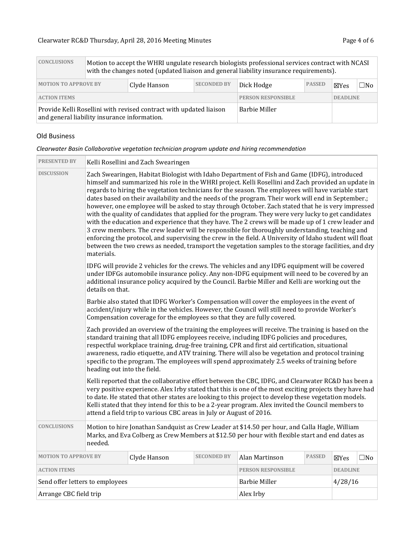| <b>CONCLUSIONS</b>                                                                                                 | Motion to accept the WHRI ungulate research biologists professional services contract with NCASI<br>with the changes noted (updated liaison and general liability insurance requirements). |  |                           |               |                 |      |
|--------------------------------------------------------------------------------------------------------------------|--------------------------------------------------------------------------------------------------------------------------------------------------------------------------------------------|--|---------------------------|---------------|-----------------|------|
| <b>SECONDED BY</b><br><b>MOTION TO APPROVE BY</b><br>Clyde Hanson                                                  |                                                                                                                                                                                            |  | Dick Hodge                | <b>PASSED</b> | ⊠Yes            | □No∣ |
| <b>ACTION ITEMS</b>                                                                                                |                                                                                                                                                                                            |  | <b>PERSON RESPONSIBLE</b> |               | <b>DEADLINE</b> |      |
| Provide Kelli Rosellini with revised contract with updated liaison<br>and general liability insurance information. |                                                                                                                                                                                            |  | <b>Barbie Miller</b>      |               |                 |      |

#### Old Business

| Clearwater Basin Collaborative vegetation technician program update and hiring recommendation |
|-----------------------------------------------------------------------------------------------|
|-----------------------------------------------------------------------------------------------|

| <b>PRESENTED BY</b>                                                                                                                                                                                                                                                       |                                                                                                                                                                                                                                                                                                                                                                                                                                                                                                                                                                                                                                                                                                                                                                                                                                                                                                                                                                                                                                                                        | Kelli Rosellini and Zach Swearingen |                           |                |                 |                 |           |
|---------------------------------------------------------------------------------------------------------------------------------------------------------------------------------------------------------------------------------------------------------------------------|------------------------------------------------------------------------------------------------------------------------------------------------------------------------------------------------------------------------------------------------------------------------------------------------------------------------------------------------------------------------------------------------------------------------------------------------------------------------------------------------------------------------------------------------------------------------------------------------------------------------------------------------------------------------------------------------------------------------------------------------------------------------------------------------------------------------------------------------------------------------------------------------------------------------------------------------------------------------------------------------------------------------------------------------------------------------|-------------------------------------|---------------------------|----------------|-----------------|-----------------|-----------|
| <b>DISCUSSION</b>                                                                                                                                                                                                                                                         | Zach Swearingen, Habitat Biologist with Idaho Department of Fish and Game (IDFG), introduced<br>himself and summarized his role in the WHRI project. Kelli Rosellini and Zach provided an update in<br>regards to hiring the vegetation technicians for the season. The employees will have variable start<br>dates based on their availability and the needs of the program. Their work will end in September.;<br>however, one employee will be asked to stay through October. Zach stated that he is very impressed<br>with the quality of candidates that applied for the program. They were very lucky to get candidates<br>with the education and experience that they have. The 2 crews will be made up of 1 crew leader and<br>3 crew members. The crew leader will be responsible for thoroughly understanding, teaching and<br>enforcing the protocol, and supervising the crew in the field. A University of Idaho student will float<br>between the two crews as needed, transport the vegetation samples to the storage facilities, and dry<br>materials. |                                     |                           |                |                 |                 |           |
|                                                                                                                                                                                                                                                                           | IDFG will provide 2 vehicles for the crews. The vehicles and any IDFG equipment will be covered<br>under IDFGs automobile insurance policy. Any non-IDFG equipment will need to be covered by an<br>additional insurance policy acquired by the Council. Barbie Miller and Kelli are working out the<br>details on that.                                                                                                                                                                                                                                                                                                                                                                                                                                                                                                                                                                                                                                                                                                                                               |                                     |                           |                |                 |                 |           |
| Barbie also stated that IDFG Worker's Compensation will cover the employees in the event of<br>accident/injury while in the vehicles. However, the Council will still need to provide Worker's<br>Compensation coverage for the employees so that they are fully covered. |                                                                                                                                                                                                                                                                                                                                                                                                                                                                                                                                                                                                                                                                                                                                                                                                                                                                                                                                                                                                                                                                        |                                     |                           |                |                 |                 |           |
|                                                                                                                                                                                                                                                                           | Zach provided an overview of the training the employees will receive. The training is based on the<br>standard training that all IDFG employees receive, including IDFG policies and procedures,<br>respectful workplace training, drug-free training, CPR and first aid certification, situational<br>awareness, radio etiquette, and ATV training. There will also be vegetation and protocol training<br>specific to the program. The employees will spend approximately 2.5 weeks of training before<br>heading out into the field.                                                                                                                                                                                                                                                                                                                                                                                                                                                                                                                                |                                     |                           |                |                 |                 |           |
|                                                                                                                                                                                                                                                                           | Kelli reported that the collaborative effort between the CBC, IDFG, and Clearwater RC&D has been a<br>very positive experience. Alex Irby stated that this is one of the most exciting projects they have had<br>to date. He stated that other states are looking to this project to develop these vegetation models.<br>Kelli stated that they intend for this to be a 2-year program. Alex invited the Council members to<br>attend a field trip to various CBC areas in July or August of 2016.                                                                                                                                                                                                                                                                                                                                                                                                                                                                                                                                                                     |                                     |                           |                |                 |                 |           |
| <b>CONCLUSIONS</b>                                                                                                                                                                                                                                                        | Motion to hire Jonathan Sandquist as Crew Leader at \$14.50 per hour, and Calla Hagle, William<br>Marks, and Eva Colberg as Crew Members at \$12.50 per hour with flexible start and end dates as<br>needed.                                                                                                                                                                                                                                                                                                                                                                                                                                                                                                                                                                                                                                                                                                                                                                                                                                                           |                                     |                           |                |                 |                 |           |
| <b>MOTION TO APPROVE BY</b>                                                                                                                                                                                                                                               |                                                                                                                                                                                                                                                                                                                                                                                                                                                                                                                                                                                                                                                                                                                                                                                                                                                                                                                                                                                                                                                                        | Clyde Hanson                        | <b>SECONDED BY</b>        | Alan Martinson | <b>PASSED</b>   | $\boxtimes$ Yes | $\Box$ No |
| <b>ACTION ITEMS</b>                                                                                                                                                                                                                                                       |                                                                                                                                                                                                                                                                                                                                                                                                                                                                                                                                                                                                                                                                                                                                                                                                                                                                                                                                                                                                                                                                        |                                     | <b>PERSON RESPONSIBLE</b> |                | <b>DEADLINE</b> |                 |           |
| Send offer letters to employees                                                                                                                                                                                                                                           |                                                                                                                                                                                                                                                                                                                                                                                                                                                                                                                                                                                                                                                                                                                                                                                                                                                                                                                                                                                                                                                                        | <b>Barbie Miller</b>                |                           | 4/28/16        |                 |                 |           |
| Arrange CBC field trip                                                                                                                                                                                                                                                    |                                                                                                                                                                                                                                                                                                                                                                                                                                                                                                                                                                                                                                                                                                                                                                                                                                                                                                                                                                                                                                                                        | Alex Irby                           |                           |                |                 |                 |           |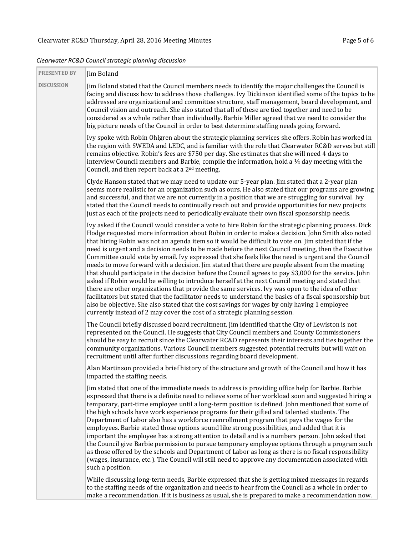| <b>PRESENTED BY</b> | Jim Boland                                                                                                                                                                                                                                                                                                                                                                                                                                                                                                                                                                                                                                                                                                                                                                                                                                                                                                                                                                                                                                                                                                                                                                                                                                 |
|---------------------|--------------------------------------------------------------------------------------------------------------------------------------------------------------------------------------------------------------------------------------------------------------------------------------------------------------------------------------------------------------------------------------------------------------------------------------------------------------------------------------------------------------------------------------------------------------------------------------------------------------------------------------------------------------------------------------------------------------------------------------------------------------------------------------------------------------------------------------------------------------------------------------------------------------------------------------------------------------------------------------------------------------------------------------------------------------------------------------------------------------------------------------------------------------------------------------------------------------------------------------------|
| DISCUSSION          | Jim Boland stated that the Council members needs to identify the major challenges the Council is<br>facing and discuss how to address those challenges. Ivy Dickinson identified some of the topics to be<br>addressed are organizational and committee structure, staff management, board development, and<br>Council vision and outreach. She also stated that all of these are tied together and need to be<br>considered as a whole rather than individually. Barbie Miller agreed that we need to consider the<br>big picture needs of the Council in order to best determine staffing needs going forward.                                                                                                                                                                                                                                                                                                                                                                                                                                                                                                                                                                                                                           |
|                     | Ivy spoke with Robin Ohlgren about the strategic planning services she offers. Robin has worked in<br>the region with SWEDA and LEDC, and is familiar with the role that Clearwater RC&D serves but still<br>remains objective. Robin's fees are \$750 per day. She estimates that she will need 4 days to<br>interview Council members and Barbie, compile the information, hold a $\frac{1}{2}$ day meeting with the<br>Council, and then report back at a 2 <sup>nd</sup> meeting.                                                                                                                                                                                                                                                                                                                                                                                                                                                                                                                                                                                                                                                                                                                                                      |
|                     | Clyde Hanson stated that we may need to update our 5-year plan. Jim stated that a 2-year plan<br>seems more realistic for an organization such as ours. He also stated that our programs are growing<br>and successful, and that we are not currently in a position that we are struggling for survival. Ivy<br>stated that the Council needs to continually reach out and provide opportunities for new projects<br>just as each of the projects need to periodically evaluate their own fiscal sponsorship needs.                                                                                                                                                                                                                                                                                                                                                                                                                                                                                                                                                                                                                                                                                                                        |
|                     | Ivy asked if the Council would consider a vote to hire Robin for the strategic planning process. Dick<br>Hodge requested more information about Robin in order to make a decision. John Smith also noted<br>that hiring Robin was not an agenda item so it would be difficult to vote on. Jim stated that if the<br>need is urgent and a decision needs to be made before the next Council meeting, then the Executive<br>Committee could vote by email. Ivy expressed that she feels like the need is urgent and the Council<br>needs to move forward with a decision. Jim stated that there are people absent from the meeting<br>that should participate in the decision before the Council agrees to pay \$3,000 for the service. John<br>asked if Robin would be willing to introduce herself at the next Council meeting and stated that<br>there are other organizations that provide the same services. Ivy was open to the idea of other<br>facilitators but stated that the facilitator needs to understand the basics of a fiscal sponsorship but<br>also be objective. She also stated that the cost savings for wages by only having 1 employee<br>currently instead of 2 may cover the cost of a strategic planning session. |
|                     | The Council briefly discussed board recruitment. Jim identified that the City of Lewiston is not<br>represented on the Council. He suggests that City Council members and County Commissioners<br>should be easy to recruit since the Clearwater RC&D represents their interests and ties together the<br>community organizations. Various Council members suggested potential recruits but will wait on<br>recruitment until after further discussions regarding board development.                                                                                                                                                                                                                                                                                                                                                                                                                                                                                                                                                                                                                                                                                                                                                       |
|                     | Alan Martinson provided a brief history of the structure and growth of the Council and how it has<br>impacted the staffing needs.                                                                                                                                                                                                                                                                                                                                                                                                                                                                                                                                                                                                                                                                                                                                                                                                                                                                                                                                                                                                                                                                                                          |
|                     | Jim stated that one of the immediate needs to address is providing office help for Barbie. Barbie<br>expressed that there is a definite need to relieve some of her workload soon and suggested hiring a<br>temporary, part-time employee until a long-term position is defined. John mentioned that some of<br>the high schools have work experience programs for their gifted and talented students. The<br>Department of Labor also has a workforce reenrollment program that pays the wages for the<br>employees. Barbie stated those options sound like strong possibilities, and added that it is<br>important the employee has a strong attention to detail and is a numbers person. John asked that<br>the Council give Barbie permission to pursue temporary employee options through a program such<br>as those offered by the schools and Department of Labor as long as there is no fiscal responsibility<br>(wages, insurance, etc.). The Council will still need to approve any documentation associated with<br>such a position.                                                                                                                                                                                            |
|                     | While discussing long-term needs, Barbie expressed that she is getting mixed messages in regards                                                                                                                                                                                                                                                                                                                                                                                                                                                                                                                                                                                                                                                                                                                                                                                                                                                                                                                                                                                                                                                                                                                                           |

*Clearwater RC&D Council strategic planning discussion*

to the staffing needs of the organization and needs to hear from the Council as a whole in order to make a recommendation. If it is business as usual, she is prepared to make a recommendation now.